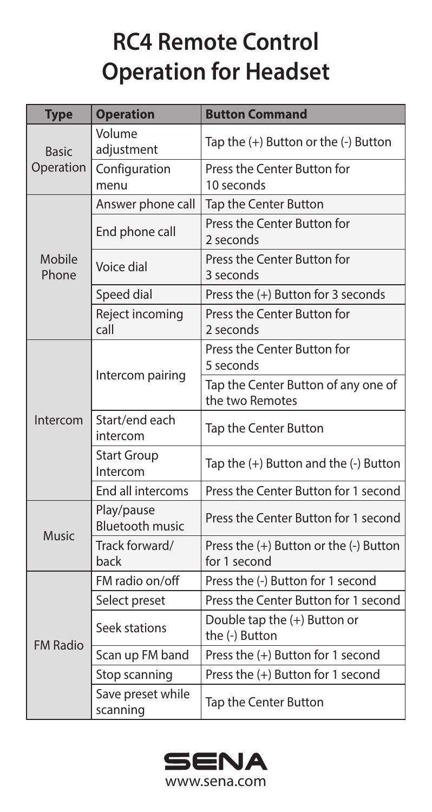## **RC4 Remote Control Operation for Headset**

| <b>Type</b>               | <b>Operation</b>                     | <b>Button Command</b>                                  |
|---------------------------|--------------------------------------|--------------------------------------------------------|
| <b>Basic</b><br>Operation | Volume<br>adiustment                 | Tap the (+) Button or the (-) Button                   |
|                           | Configuration<br>menu                | Press the Center Button for<br>10 seconds              |
| Mobile<br>Phone           | Answer phone call                    | Tap the Center Button                                  |
|                           | End phone call                       | Press the Center Button for<br>2 seconds               |
|                           | Voice dial                           | Press the Center Button for<br>3 seconds               |
|                           | Speed dial                           | Press the (+) Button for 3 seconds                     |
|                           | Reject incoming<br>call              | Press the Center Button for<br>2 seconds               |
| Intercom                  | Intercom pairing                     | Press the Center Button for<br>5 seconds               |
|                           |                                      | Tap the Center Button of any one of<br>the two Remotes |
|                           | Start/end each<br>intercom           | Tap the Center Button                                  |
|                           | <b>Start Group</b><br>Intercom       | Tap the (+) Button and the (-) Button                  |
|                           | End all intercoms                    | Press the Center Button for 1 second                   |
| <b>Music</b>              | Play/pause<br><b>Bluetooth music</b> | Press the Center Button for 1 second                   |
|                           | Track forward/<br>back               | Press the (+) Button or the (-) Button<br>for 1 second |
| <b>FM Radio</b>           | FM radio on/off                      | Press the (-) Button for 1 second                      |
|                           | Select preset                        | Press the Center Button for 1 second                   |
|                           | Seek stations                        | Double tap the (+) Button or<br>the (-) Button         |
|                           | Scan up FM band                      | Press the (+) Button for 1 second                      |
|                           | Stop scanning                        | Press the (+) Button for 1 second                      |
|                           | Save preset while<br>scanning        | Tap the Center Button                                  |